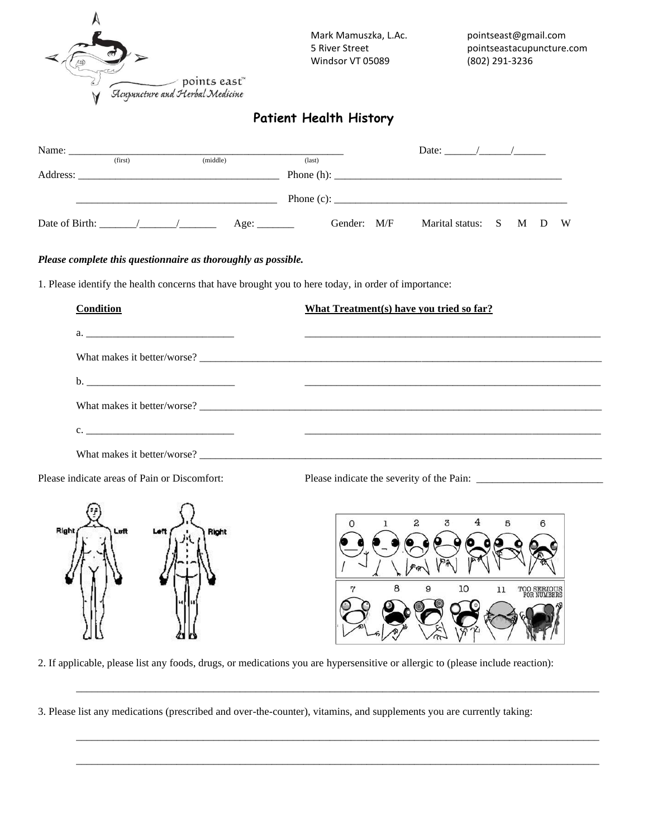

# **Patient Health History**

| Name:<br><u> 1980 - Jan Stein Stein Stein Stein Stein Stein Stein Stein Stein Stein Stein Stein Stein Stein Stein Stein Stein Stein Stein Stein Stein Stein Stein Stein Stein Stein Stein Stein Stein Stein Stein Stein Stein Stein Stein</u>                                                                                                                                                                                               |         |          |             |                 |  | Date: $\frac{1}{2}$ /   |  |  |
|---------------------------------------------------------------------------------------------------------------------------------------------------------------------------------------------------------------------------------------------------------------------------------------------------------------------------------------------------------------------------------------------------------------------------------------------|---------|----------|-------------|-----------------|--|-------------------------|--|--|
|                                                                                                                                                                                                                                                                                                                                                                                                                                             | (first) | (middle) |             | $\text{(last)}$ |  |                         |  |  |
|                                                                                                                                                                                                                                                                                                                                                                                                                                             |         |          |             |                 |  |                         |  |  |
|                                                                                                                                                                                                                                                                                                                                                                                                                                             |         |          |             |                 |  |                         |  |  |
| Date of Birth: $\frac{1}{\sqrt{1-\frac{1}{2}} \cdot \frac{1}{\sqrt{1-\frac{1}{2}} \cdot \frac{1}{\sqrt{1-\frac{1}{2}} \cdot \frac{1}{\sqrt{1-\frac{1}{2}} \cdot \frac{1}{\sqrt{1-\frac{1}{2}} \cdot \frac{1}{\sqrt{1-\frac{1}{2}} \cdot \frac{1}{\sqrt{1-\frac{1}{2}} \cdot \frac{1}{\sqrt{1-\frac{1}{2}} \cdot \frac{1}{\sqrt{1-\frac{1}{2}} \cdot \frac{1}{\sqrt{1-\frac{1}{2}} \cdot \frac{1}{\sqrt{1-\frac{1}{2}} \cdot \frac{1}{\sqrt$ |         |          | Age: $\_\_$ | Gender: M/F     |  | Marital status: S M D W |  |  |

#### *Please complete this questionnaire as thoroughly as possible.*

1. Please identify the health concerns that have brought you to here today, in order of importance:

| Condition      | What Treatment(s) have you tried so far? |
|----------------|------------------------------------------|
|                |                                          |
|                | What makes it better/worse?              |
|                |                                          |
|                |                                          |
| $\mathbf{c}$ . |                                          |
|                |                                          |
|                |                                          |

Please indicate areas of Pain or Discomfort: Please indicate the severity of the Pain:



4  $\overline{c}$  $\overline{3}$ 5 6 10 8 9 TOO SERIOUS<br>FOR NUMBERS 11

2. If applicable, please list any foods, drugs, or medications you are hypersensitive or allergic to (please include reaction):

\_\_\_\_\_\_\_\_\_\_\_\_\_\_\_\_\_\_\_\_\_\_\_\_\_\_\_\_\_\_\_\_\_\_\_\_\_\_\_\_\_\_\_\_\_\_\_\_\_\_\_\_\_\_\_\_\_\_\_\_\_\_\_\_\_\_\_\_\_\_\_\_\_\_\_\_\_\_\_\_\_\_\_\_\_\_\_\_\_\_\_\_\_\_\_\_\_\_\_

\_\_\_\_\_\_\_\_\_\_\_\_\_\_\_\_\_\_\_\_\_\_\_\_\_\_\_\_\_\_\_\_\_\_\_\_\_\_\_\_\_\_\_\_\_\_\_\_\_\_\_\_\_\_\_\_\_\_\_\_\_\_\_\_\_\_\_\_\_\_\_\_\_\_\_\_\_\_\_\_\_\_\_\_\_\_\_\_\_\_\_\_\_\_\_\_\_\_\_

\_\_\_\_\_\_\_\_\_\_\_\_\_\_\_\_\_\_\_\_\_\_\_\_\_\_\_\_\_\_\_\_\_\_\_\_\_\_\_\_\_\_\_\_\_\_\_\_\_\_\_\_\_\_\_\_\_\_\_\_\_\_\_\_\_\_\_\_\_\_\_\_\_\_\_\_\_\_\_\_\_\_\_\_\_\_\_\_\_\_\_\_\_\_\_\_\_\_\_

3. Please list any medications (prescribed and over-the-counter), vitamins, and supplements you are currently taking: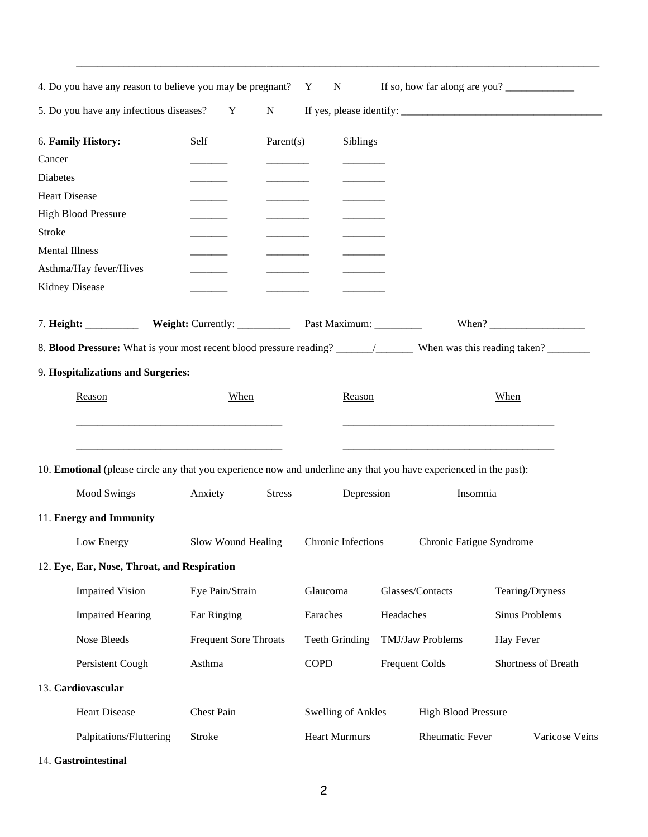| 4. Do you have any reason to believe you may be pregnant? Y<br>If so, how far along are you?<br>${\bf N}$                                                                                                                                 |                    |                       |                           |                  |                            |                     |  |  |
|-------------------------------------------------------------------------------------------------------------------------------------------------------------------------------------------------------------------------------------------|--------------------|-----------------------|---------------------------|------------------|----------------------------|---------------------|--|--|
| 5. Do you have any infectious diseases?<br>${\bf N}$<br>Y                                                                                                                                                                                 |                    |                       |                           |                  |                            |                     |  |  |
| 6. Family History:<br>Cancer<br>Diabetes<br><b>Heart Disease</b><br><b>High Blood Pressure</b><br>Stroke<br><b>Mental Illness</b><br>Asthma/Hay fever/Hives<br>Kidney Disease                                                             | Self               | Parent(s)             | <b>Siblings</b>           |                  |                            |                     |  |  |
|                                                                                                                                                                                                                                           |                    |                       |                           |                  |                            |                     |  |  |
|                                                                                                                                                                                                                                           |                    |                       |                           |                  |                            |                     |  |  |
| 9. Hospitalizations and Surgeries:                                                                                                                                                                                                        |                    |                       |                           |                  |                            |                     |  |  |
| Reason                                                                                                                                                                                                                                    | When               |                       | Reason                    |                  |                            | When                |  |  |
|                                                                                                                                                                                                                                           |                    |                       |                           |                  |                            |                     |  |  |
| <u> 1980 - Johann Barbara, martxa alemaniar argumento este alemaniar alemaniar alemaniar alemaniar alemaniar al</u><br>10. Emotional (please circle any that you experience now and underline any that you have experienced in the past): |                    |                       |                           |                  |                            |                     |  |  |
| <b>Mood Swings</b>                                                                                                                                                                                                                        | Anxiety            | <b>Stress</b>         | Depression                |                  | Insomnia                   |                     |  |  |
| 11. Energy and Immunity                                                                                                                                                                                                                   |                    |                       |                           |                  |                            |                     |  |  |
| Low Energy                                                                                                                                                                                                                                | Slow Wound Healing |                       | Chronic Infections        |                  | Chronic Fatigue Syndrome   |                     |  |  |
| 12. Eye, Ear, Nose, Throat, and Respiration                                                                                                                                                                                               |                    |                       |                           |                  |                            |                     |  |  |
| <b>Impaired Vision</b>                                                                                                                                                                                                                    | Eye Pain/Strain    |                       | Glaucoma                  |                  | Glasses/Contacts           | Tearing/Dryness     |  |  |
| <b>Impaired Hearing</b>                                                                                                                                                                                                                   | Ear Ringing        |                       | Earaches<br>Headaches     |                  |                            | Sinus Problems      |  |  |
| Nose Bleeds<br><b>Frequent Sore Throats</b>                                                                                                                                                                                               |                    | <b>Teeth Grinding</b> |                           | TMJ/Jaw Problems | Hay Fever                  |                     |  |  |
| Persistent Cough                                                                                                                                                                                                                          | Asthma             |                       | <b>COPD</b>               |                  | <b>Frequent Colds</b>      | Shortness of Breath |  |  |
| 13. Cardiovascular                                                                                                                                                                                                                        |                    |                       |                           |                  |                            |                     |  |  |
| <b>Heart Disease</b>                                                                                                                                                                                                                      | Chest Pain         |                       | <b>Swelling of Ankles</b> |                  | <b>High Blood Pressure</b> |                     |  |  |
| Palpitations/Fluttering                                                                                                                                                                                                                   | Stroke             |                       | <b>Heart Murmurs</b>      |                  | <b>Rheumatic Fever</b>     | Varicose Veins      |  |  |

\_\_\_\_\_\_\_\_\_\_\_\_\_\_\_\_\_\_\_\_\_\_\_\_\_\_\_\_\_\_\_\_\_\_\_\_\_\_\_\_\_\_\_\_\_\_\_\_\_\_\_\_\_\_\_\_\_\_\_\_\_\_\_\_\_\_\_\_\_\_\_\_\_\_\_\_\_\_\_\_\_\_\_\_\_\_\_\_\_\_\_\_\_\_\_\_\_\_\_

14. **Gastrointestinal**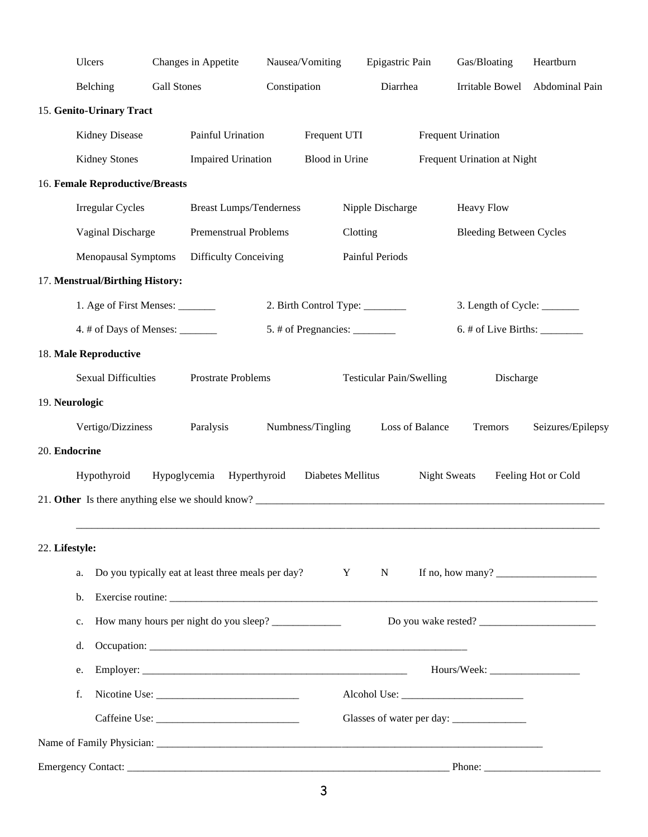|                | Ulcers                                                    |                    | Changes in Appetite                                |              | Nausea/Vomiting                | Epigastric Pain                 |                     | Gas/Bloating                         | Heartburn           |
|----------------|-----------------------------------------------------------|--------------------|----------------------------------------------------|--------------|--------------------------------|---------------------------------|---------------------|--------------------------------------|---------------------|
|                | Belching                                                  | <b>Gall Stones</b> |                                                    | Constipation |                                | Diarrhea                        |                     | Irritable Bowel                      | Abdominal Pain      |
|                | 15. Genito-Urinary Tract                                  |                    |                                                    |              |                                |                                 |                     |                                      |                     |
|                | Kidney Disease                                            |                    | Painful Urination                                  |              | Frequent UTI                   |                                 |                     | <b>Frequent Urination</b>            |                     |
|                | <b>Kidney Stones</b>                                      |                    | <b>Impaired Urination</b>                          |              | Blood in Urine                 |                                 |                     | Frequent Urination at Night          |                     |
|                | 16. Female Reproductive/Breasts                           |                    |                                                    |              |                                |                                 |                     |                                      |                     |
|                | <b>Irregular Cycles</b>                                   |                    | <b>Breast Lumps/Tenderness</b>                     |              |                                | Nipple Discharge                |                     | <b>Heavy Flow</b>                    |                     |
|                | Vaginal Discharge                                         |                    | Premenstrual Problems                              |              | Clotting                       |                                 |                     | <b>Bleeding Between Cycles</b>       |                     |
|                | <b>Menopausal Symptoms</b>                                |                    | <b>Difficulty Conceiving</b>                       |              |                                | Painful Periods                 |                     |                                      |                     |
|                | 17. Menstrual/Birthing History:                           |                    |                                                    |              |                                |                                 |                     |                                      |                     |
|                | 1. Age of First Menses: ________                          |                    |                                                    |              | 2. Birth Control Type: ______  |                                 |                     | 3. Length of Cycle: _______          |                     |
|                | 4. # of Days of Menses: _______                           |                    |                                                    |              | 5. # of Pregnancies: _________ |                                 |                     | $6.$ # of Live Births: $\frac{1}{2}$ |                     |
|                | 18. Male Reproductive                                     |                    |                                                    |              |                                |                                 |                     |                                      |                     |
|                | <b>Sexual Difficulties</b>                                |                    | Prostrate Problems                                 |              |                                | <b>Testicular Pain/Swelling</b> |                     | Discharge                            |                     |
| 19. Neurologic |                                                           |                    |                                                    |              |                                |                                 |                     |                                      |                     |
|                | Vertigo/Dizziness                                         |                    | Paralysis                                          |              | Numbness/Tingling              |                                 | Loss of Balance     | Tremors                              | Seizures/Epilepsy   |
| 20. Endocrine  |                                                           |                    |                                                    |              |                                |                                 |                     |                                      |                     |
|                | Hypothyroid                                               | Hypoglycemia       | Hyperthyroid                                       |              | Diabetes Mellitus              |                                 | <b>Night Sweats</b> |                                      | Feeling Hot or Cold |
|                |                                                           |                    |                                                    |              |                                |                                 |                     |                                      |                     |
|                |                                                           |                    |                                                    |              |                                |                                 |                     |                                      |                     |
| 22. Lifestyle: |                                                           |                    |                                                    |              |                                |                                 |                     |                                      |                     |
|                | a.                                                        |                    | Do you typically eat at least three meals per day? |              | $\mathbf{Y}$                   | N                               |                     | If no, how many? $\qquad \qquad$     |                     |
|                | b.                                                        |                    | Exercise routine:                                  |              |                                |                                 |                     |                                      |                     |
|                | How many hours per night do you sleep? ____________<br>c. |                    |                                                    |              |                                |                                 |                     |                                      |                     |
|                | d.                                                        |                    |                                                    |              |                                |                                 |                     |                                      |                     |
|                | e.                                                        |                    |                                                    |              |                                |                                 |                     |                                      |                     |
|                | f.                                                        |                    |                                                    |              |                                |                                 |                     |                                      |                     |
|                |                                                           |                    |                                                    |              |                                |                                 |                     |                                      |                     |
|                |                                                           |                    |                                                    |              |                                |                                 |                     |                                      |                     |
|                |                                                           |                    |                                                    |              |                                |                                 |                     |                                      |                     |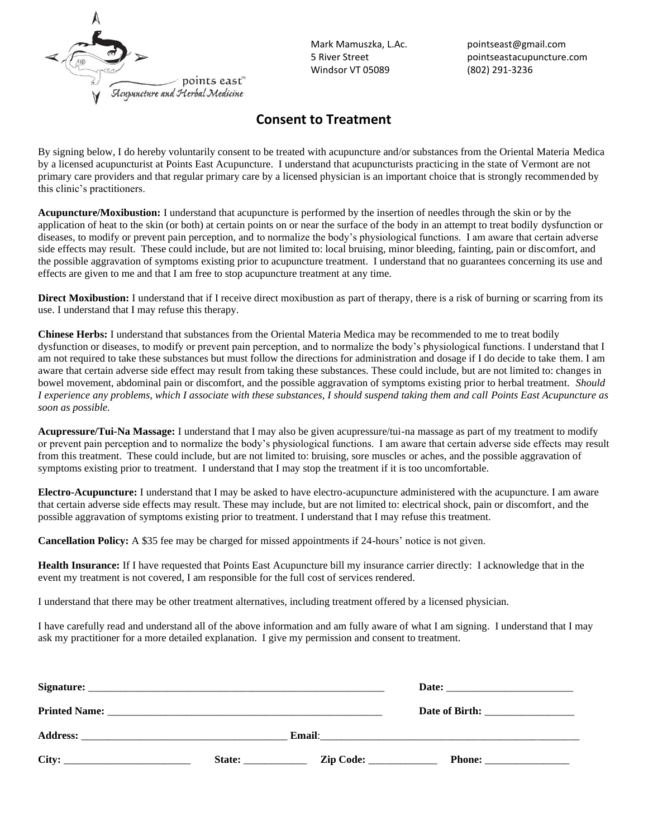

Mark Mamuszka, L.Ac. 5 River Street Windsor VT 05089

pointseast@gmail.com pointseastacupuncture.com (802) 291-3236

# **Consent to Treatment**

By signing below, I do hereby voluntarily consent to be treated with acupuncture and/or substances from the Oriental Materia Medica by a licensed acupuncturist at Points East Acupuncture. I understand that acupuncturists practicing in the state of Vermont are not primary care providers and that regular primary care by a licensed physician is an important choice that is strongly recommended by this clinic's practitioners.

**Acupuncture/Moxibustion:** I understand that acupuncture is performed by the insertion of needles through the skin or by the application of heat to the skin (or both) at certain points on or near the surface of the body in an attempt to treat bodily dysfunction or diseases, to modify or prevent pain perception, and to normalize the body's physiological functions. I am aware that certain adverse side effects may result. These could include, but are not limited to: local bruising, minor bleeding, fainting, pain or discomfort, and the possible aggravation of symptoms existing prior to acupuncture treatment. I understand that no guarantees concerning its use and effects are given to me and that I am free to stop acupuncture treatment at any time.

**Direct Moxibustion:** I understand that if I receive direct moxibustion as part of therapy, there is a risk of burning or scarring from its use. I understand that I may refuse this therapy.

**Chinese Herbs:** I understand that substances from the Oriental Materia Medica may be recommended to me to treat bodily dysfunction or diseases, to modify or prevent pain perception, and to normalize the body's physiological functions. I understand that I am not required to take these substances but must follow the directions for administration and dosage if I do decide to take them. I am aware that certain adverse side effect may result from taking these substances. These could include, but are not limited to: changes in bowel movement, abdominal pain or discomfort, and the possible aggravation of symptoms existing prior to herbal treatment. *Should I experience any problems, which I associate with these substances, I should suspend taking them and call Points East Acupuncture as soon as possible.*

**Acupressure/Tui-Na Massage:** I understand that I may also be given acupressure/tui-na massage as part of my treatment to modify or prevent pain perception and to normalize the body's physiological functions. I am aware that certain adverse side effects may result from this treatment. These could include, but are not limited to: bruising, sore muscles or aches, and the possible aggravation of symptoms existing prior to treatment. I understand that I may stop the treatment if it is too uncomfortable.

**Electro-Acupuncture:** I understand that I may be asked to have electro-acupuncture administered with the acupuncture. I am aware that certain adverse side effects may result. These may include, but are not limited to: electrical shock, pain or discomfort, and the possible aggravation of symptoms existing prior to treatment. I understand that I may refuse this treatment.

**Cancellation Policy:** A \$35 fee may be charged for missed appointments if 24-hours' notice is not given.

**Health Insurance:** If I have requested that Points East Acupuncture bill my insurance carrier directly: I acknowledge that in the event my treatment is not covered, I am responsible for the full cost of services rendered.

I understand that there may be other treatment alternatives, including treatment offered by a licensed physician.

I have carefully read and understand all of the above information and am fully aware of what I am signing. I understand that I may ask my practitioner for a more detailed explanation. I give my permission and consent to treatment.

| Signature:      |        |  |
|-----------------|--------|--|
|                 |        |  |
| <b>Address:</b> |        |  |
| City:           | State: |  |